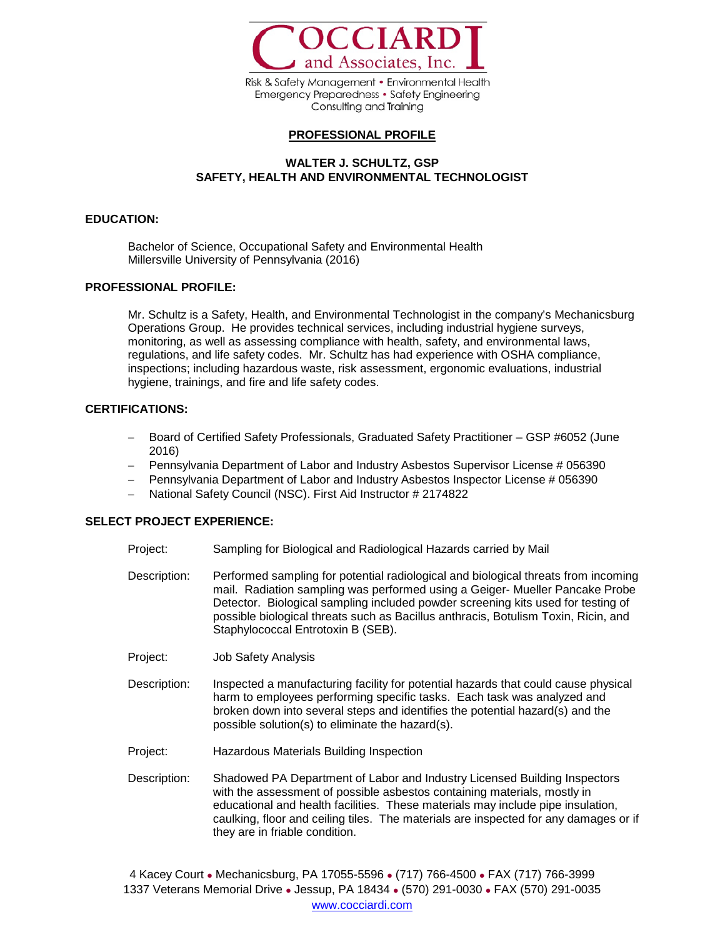

Risk & Safety Management • Environmental Health **Emergency Preparedness • Safety Engineering** Consulting and Training

## **PROFESSIONAL PROFILE**

# **WALTER J. SCHULTZ, GSP SAFETY, HEALTH AND ENVIRONMENTAL TECHNOLOGIST**

## **EDUCATION:**

Bachelor of Science, Occupational Safety and Environmental Health Millersville University of Pennsylvania (2016)

#### **PROFESSIONAL PROFILE:**

Mr. Schultz is a Safety, Health, and Environmental Technologist in the company's Mechanicsburg Operations Group. He provides technical services, including industrial hygiene surveys, monitoring, as well as assessing compliance with health, safety, and environmental laws, regulations, and life safety codes. Mr. Schultz has had experience with OSHA compliance, inspections; including hazardous waste, risk assessment, ergonomic evaluations, industrial hygiene, trainings, and fire and life safety codes.

#### **CERTIFICATIONS:**

- − Board of Certified Safety Professionals, Graduated Safety Practitioner GSP #6052 (June 2016)
- − Pennsylvania Department of Labor and Industry Asbestos Supervisor License # 056390
- − Pennsylvania Department of Labor and Industry Asbestos Inspector License # 056390
- − National Safety Council (NSC). First Aid Instructor # 2174822

## **SELECT PROJECT EXPERIENCE:**

- Project: Sampling for Biological and Radiological Hazards carried by Mail
- Description: Performed sampling for potential radiological and biological threats from incoming mail. Radiation sampling was performed using a Geiger- Mueller Pancake Probe Detector. Biological sampling included powder screening kits used for testing of possible biological threats such as Bacillus anthracis, Botulism Toxin, Ricin, and Staphylococcal Entrotoxin B (SEB).
- Project: Job Safety Analysis
- Description: Inspected a manufacturing facility for potential hazards that could cause physical harm to employees performing specific tasks. Each task was analyzed and broken down into several steps and identifies the potential hazard(s) and the possible solution(s) to eliminate the hazard(s).
- Project: Hazardous Materials Building Inspection
- Description: Shadowed PA Department of Labor and Industry Licensed Building Inspectors with the assessment of possible asbestos containing materials, mostly in educational and health facilities. These materials may include pipe insulation, caulking, floor and ceiling tiles. The materials are inspected for any damages or if they are in friable condition.